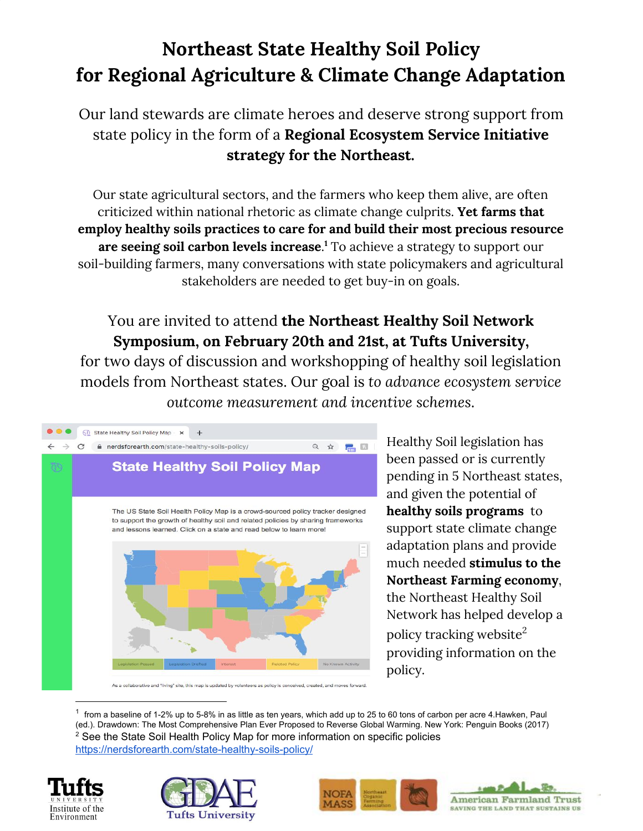## **Northeast State Healthy Soil Policy for Regional Agriculture & Climate Change Adaptation**

Our land stewards are climate heroes and deserve strong support from state policy in the form of a **Regional Ecosystem Service Initiative strategy for the Northeast.**

Our state agricultural sectors, and the farmers who keep them alive, are often criticized within national rhetoric as climate change culprits. **Yet farms that employ healthy soils practices to care for and build their most precious resource are seeing soil carbon levels increase**.<sup>1</sup> To achieve a strategy to support our soil-building farmers, many conversations with state policymakers and agricultural stakeholders are needed to get buy-in on goals.

## You are invited to attend **the Northeast Healthy Soil Network Symposium, on February 20th and 21st, at Tufts University,**

for two days of discussion and workshopping of healthy soil legislation models from Northeast states. Our goal is *to advance ecosystem service outcome measurement and incentive schemes*.



Healthy Soil legislation has been passed or is currently pending in 5 Northeast states, and given the potential of **healthy soils programs** to support state climate change adaptation plans and provide much needed **stimulus to the Northeast Farming economy**, the Northeast Healthy Soil Network has helped develop a policy tracking website $^2$ providing information on the policy.

 $^1$  from a baseline of 1-2% up to 5-8% in as little as ten years, which add up to 25 to 60 tons of carbon per acre 4.Hawken, Paul (ed.). Drawdown: The Most Comprehensive Plan Ever Proposed to Reverse Global Warming. New York: Penguin Books (2017) <sup>2</sup> See the State Soil Health Policy Map for more information on specific policies <https://nerdsforearth.com/state-healthy-soils-policy/>







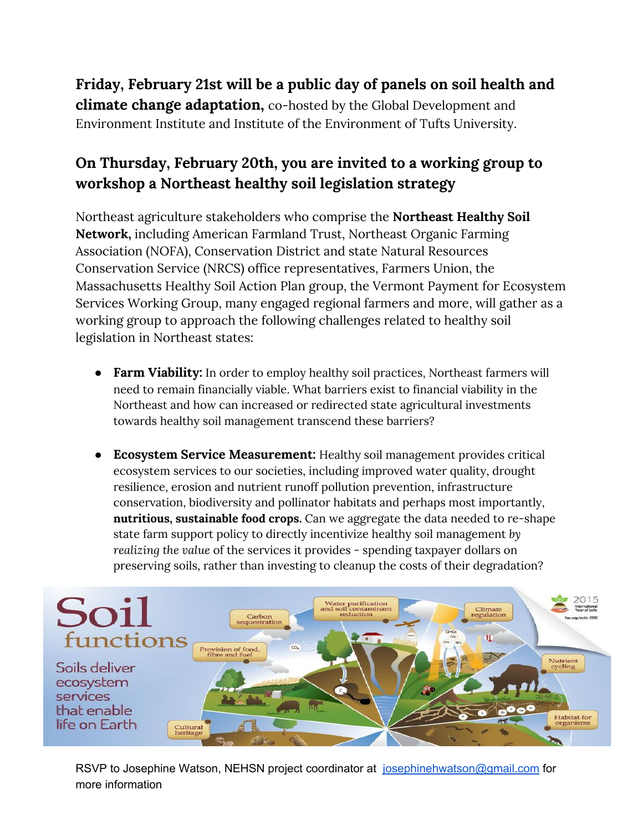**Friday, February 21st will be a public day of panels on soil health and climate change adaptation,** co-hosted by the Global Development and Environment Institute and Institute of the Environment of Tufts University.

## **On Thursday, February 20th, you are invited to a working group to workshop a Northeast healthy soil legislation strategy**

Northeast agriculture stakeholders who comprise the **Northeast Healthy Soil Network,** including American Farmland Trust, Northeast Organic Farming Association (NOFA), Conservation District and state Natural Resources Conservation Service (NRCS) office representatives, Farmers Union, the Massachusetts Healthy Soil Action Plan group, the Vermont Payment for Ecosystem Services Working Group, many engaged regional farmers and more, will gather as a working group to approach the following challenges related to healthy soil legislation in Northeast states:

- **● Farm Viability:** In order to employ healthy soil practices, Northeast farmers will need to remain financially viable. What barriers exist to financial viability in the Northeast and how can increased or redirected state agricultural investments towards healthy soil management transcend these barriers?
- **Ecosystem Service Measurement:** Healthy soil management provides critical ecosystem services to our societies, including improved water quality, drought resilience, erosion and nutrient runoff pollution prevention, infrastructure conservation, biodiversity and pollinator habitats and perhaps most importantly, **nutritious, sustainable food crops.** Can we aggregate the data needed to re-shape state farm support policy to directly incentivize healthy soil management *by realizing the value* of the services it provides - spending taxpayer dollars on preserving soils, rather than investing to cleanup the costs of their degradation?



RSVP to Josephine Watson, NEHSN project coordinator at [josephinehwatson@gmail.com](mailto:josephinehwatson@gmail.com) for more information